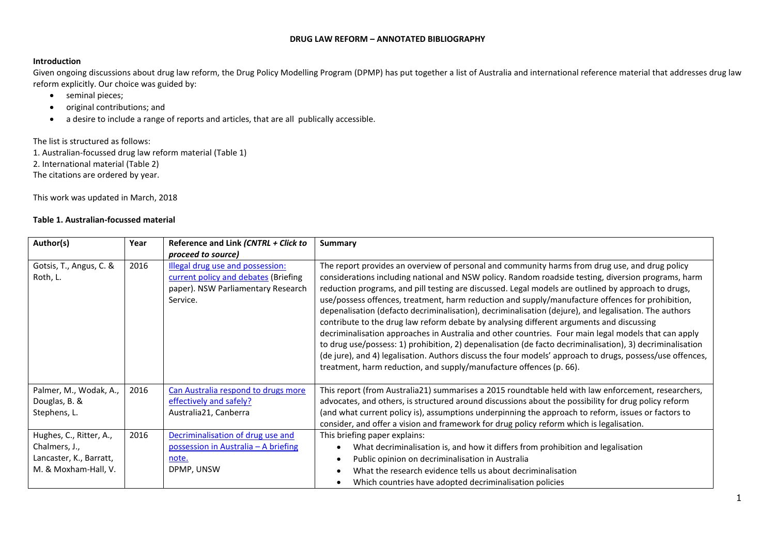## **DRUG LAW REFORM – ANNOTATED BIBLIOGRAPHY**

## **Introduction**

Given ongoing discussions about drug law reform, the Drug Policy Modelling Program (DPMP) has put together a list of Australia and international reference material that addresses drug law reform explicitly. Our choice was guided by:

- seminal pieces;
- original contributions; and
- a desire to include a range of reports and articles, that are all publically accessible.

The list is structured as follows:

1. Australian-focussed drug law reform material (Table 1) 2. International material (Table 2) The citations are ordered by year.

This work was updated in March, 2018

## **Table 1. Australian-focussed material**

| Author(s)                                                                                   | Year | Reference and Link (CNTRL + Click to<br>proceed to source)                                                                 | Summary                                                                                                                                                                                                                                                                                                                                                                                                                                                                                                                                                                                                                                                                                                                                                                                                                                                                                                                                                                                                                        |  |
|---------------------------------------------------------------------------------------------|------|----------------------------------------------------------------------------------------------------------------------------|--------------------------------------------------------------------------------------------------------------------------------------------------------------------------------------------------------------------------------------------------------------------------------------------------------------------------------------------------------------------------------------------------------------------------------------------------------------------------------------------------------------------------------------------------------------------------------------------------------------------------------------------------------------------------------------------------------------------------------------------------------------------------------------------------------------------------------------------------------------------------------------------------------------------------------------------------------------------------------------------------------------------------------|--|
| Gotsis, T., Angus, C. &<br>Roth, L.                                                         | 2016 | Illegal drug use and possession:<br>current policy and debates (Briefing<br>paper). NSW Parliamentary Research<br>Service. | The report provides an overview of personal and community harms from drug use, and drug policy<br>considerations including national and NSW policy. Random roadside testing, diversion programs, harm<br>reduction programs, and pill testing are discussed. Legal models are outlined by approach to drugs,<br>use/possess offences, treatment, harm reduction and supply/manufacture offences for prohibition,<br>depenalisation (defacto decriminalisation), decriminalisation (dejure), and legalisation. The authors<br>contribute to the drug law reform debate by analysing different arguments and discussing<br>decriminalisation approaches in Australia and other countries. Four main legal models that can apply<br>to drug use/possess: 1) prohibition, 2) depenalisation (de facto decriminalisation), 3) decriminalisation<br>(de jure), and 4) legalisation. Authors discuss the four models' approach to drugs, possess/use offences,<br>treatment, harm reduction, and supply/manufacture offences (p. 66). |  |
| Palmer, M., Wodak, A.,<br>Douglas, B. &<br>Stephens, L.                                     | 2016 | Can Australia respond to drugs more<br>effectively and safely?<br>Australia21, Canberra                                    | This report (from Australia21) summarises a 2015 roundtable held with law enforcement, researchers,<br>advocates, and others, is structured around discussions about the possibility for drug policy reform<br>(and what current policy is), assumptions underpinning the approach to reform, issues or factors to<br>consider, and offer a vision and framework for drug policy reform which is legalisation.                                                                                                                                                                                                                                                                                                                                                                                                                                                                                                                                                                                                                 |  |
| Hughes, C., Ritter, A.,<br>Chalmers, J.,<br>Lancaster, K., Barratt,<br>M. & Moxham-Hall, V. | 2016 | Decriminalisation of drug use and<br>possession in Australia - A briefing<br>note.<br>DPMP, UNSW                           | This briefing paper explains:<br>What decriminalisation is, and how it differs from prohibition and legalisation<br>Public opinion on decriminalisation in Australia<br>What the research evidence tells us about decriminalisation<br>Which countries have adopted decriminalisation policies                                                                                                                                                                                                                                                                                                                                                                                                                                                                                                                                                                                                                                                                                                                                 |  |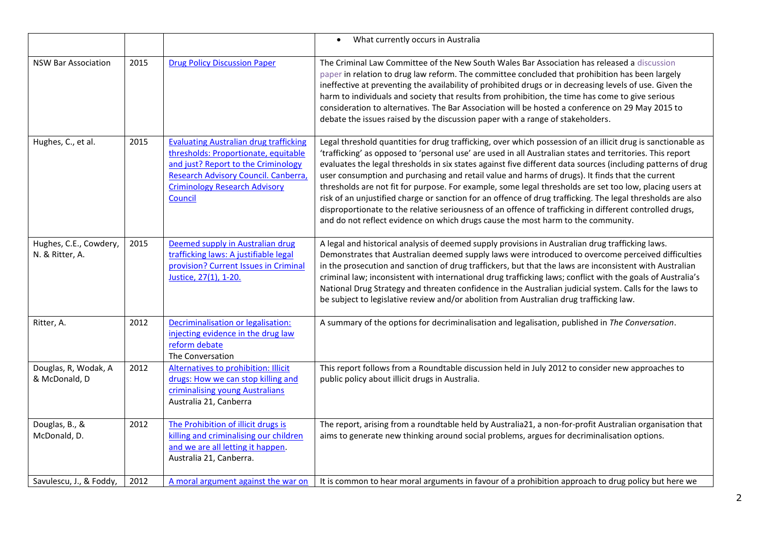|                                           |      |                                                                                                                                                                                                                         | What currently occurs in Australia<br>$\bullet$                                                                                                                                                                                                                                                                                                                                                                                                                                                                                                                                                                                                                                                                                                                                                                                                                         |
|-------------------------------------------|------|-------------------------------------------------------------------------------------------------------------------------------------------------------------------------------------------------------------------------|-------------------------------------------------------------------------------------------------------------------------------------------------------------------------------------------------------------------------------------------------------------------------------------------------------------------------------------------------------------------------------------------------------------------------------------------------------------------------------------------------------------------------------------------------------------------------------------------------------------------------------------------------------------------------------------------------------------------------------------------------------------------------------------------------------------------------------------------------------------------------|
| <b>NSW Bar Association</b>                | 2015 | <b>Drug Policy Discussion Paper</b>                                                                                                                                                                                     | The Criminal Law Committee of the New South Wales Bar Association has released a discussion<br>paper in relation to drug law reform. The committee concluded that prohibition has been largely<br>ineffective at preventing the availability of prohibited drugs or in decreasing levels of use. Given the<br>harm to individuals and society that results from prohibition, the time has come to give serious<br>consideration to alternatives. The Bar Association will be hosted a conference on 29 May 2015 to<br>debate the issues raised by the discussion paper with a range of stakeholders.                                                                                                                                                                                                                                                                    |
| Hughes, C., et al.                        | 2015 | <b>Evaluating Australian drug trafficking</b><br>thresholds: Proportionate, equitable<br>and just? Report to the Criminology<br>Research Advisory Council. Canberra,<br><b>Criminology Research Advisory</b><br>Council | Legal threshold quantities for drug trafficking, over which possession of an illicit drug is sanctionable as<br>'trafficking' as opposed to 'personal use' are used in all Australian states and territories. This report<br>evaluates the legal thresholds in six states against five different data sources (including patterns of drug<br>user consumption and purchasing and retail value and harms of drugs). It finds that the current<br>thresholds are not fit for purpose. For example, some legal thresholds are set too low, placing users at<br>risk of an unjustified charge or sanction for an offence of drug trafficking. The legal thresholds are also<br>disproportionate to the relative seriousness of an offence of trafficking in different controlled drugs,<br>and do not reflect evidence on which drugs cause the most harm to the community. |
| Hughes, C.E., Cowdery,<br>N. & Ritter, A. | 2015 | Deemed supply in Australian drug<br>trafficking laws: A justifiable legal<br>provision? Current Issues in Criminal<br>Justice, 27(1), 1-20.                                                                             | A legal and historical analysis of deemed supply provisions in Australian drug trafficking laws.<br>Demonstrates that Australian deemed supply laws were introduced to overcome perceived difficulties<br>in the prosecution and sanction of drug traffickers, but that the laws are inconsistent with Australian<br>criminal law; inconsistent with international drug trafficking laws; conflict with the goals of Australia's<br>National Drug Strategy and threaten confidence in the Australian judicial system. Calls for the laws to<br>be subject to legislative review and/or abolition from Australian drug trafficking law.                                                                                                                                                                                                                                  |
| Ritter, A.                                | 2012 | Decriminalisation or legalisation:<br>injecting evidence in the drug law<br>reform debate<br>The Conversation                                                                                                           | A summary of the options for decriminalisation and legalisation, published in The Conversation.                                                                                                                                                                                                                                                                                                                                                                                                                                                                                                                                                                                                                                                                                                                                                                         |
| Douglas, R, Wodak, A<br>& McDonald, D     | 2012 | Alternatives to prohibition: Illicit<br>drugs: How we can stop killing and<br>criminalising young Australians<br>Australia 21, Canberra                                                                                 | This report follows from a Roundtable discussion held in July 2012 to consider new approaches to<br>public policy about illicit drugs in Australia.                                                                                                                                                                                                                                                                                                                                                                                                                                                                                                                                                                                                                                                                                                                     |
| Douglas, B., &<br>McDonald, D.            | 2012 | The Prohibition of illicit drugs is<br>killing and criminalising our children<br>and we are all letting it happen.<br>Australia 21, Canberra.                                                                           | The report, arising from a roundtable held by Australia21, a non-for-profit Australian organisation that<br>aims to generate new thinking around social problems, argues for decriminalisation options.                                                                                                                                                                                                                                                                                                                                                                                                                                                                                                                                                                                                                                                                 |
| Savulescu, J., & Foddy,                   | 2012 | A moral argument against the war on                                                                                                                                                                                     | It is common to hear moral arguments in favour of a prohibition approach to drug policy but here we                                                                                                                                                                                                                                                                                                                                                                                                                                                                                                                                                                                                                                                                                                                                                                     |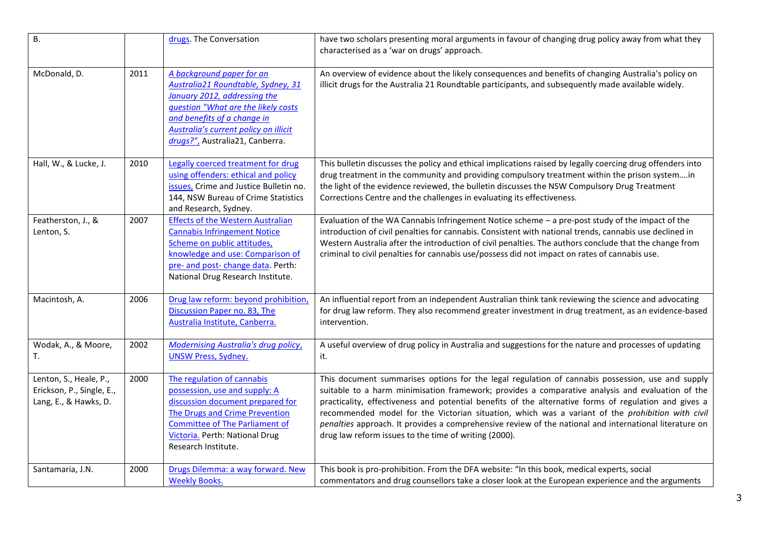| <b>B.</b>                                                                    |      | drugs. The Conversation                                                                                                                                                                                                                           | have two scholars presenting moral arguments in favour of changing drug policy away from what they<br>characterised as a 'war on drugs' approach.                                                                                                                                                                                                                                                                                                                                                                                                                                    |
|------------------------------------------------------------------------------|------|---------------------------------------------------------------------------------------------------------------------------------------------------------------------------------------------------------------------------------------------------|--------------------------------------------------------------------------------------------------------------------------------------------------------------------------------------------------------------------------------------------------------------------------------------------------------------------------------------------------------------------------------------------------------------------------------------------------------------------------------------------------------------------------------------------------------------------------------------|
| McDonald, D.                                                                 | 2011 | A background paper for an<br>Australia21 Roundtable, Sydney, 31<br>January 2012, addressing the<br>question "What are the likely costs<br>and benefits of a change in<br>Australia's current policy on illicit<br>drugs?", Australia21, Canberra. | An overview of evidence about the likely consequences and benefits of changing Australia's policy on<br>illicit drugs for the Australia 21 Roundtable participants, and subsequently made available widely.                                                                                                                                                                                                                                                                                                                                                                          |
| Hall, W., & Lucke, J.                                                        | 2010 | Legally coerced treatment for drug<br>using offenders: ethical and policy<br>issues, Crime and Justice Bulletin no.<br>144, NSW Bureau of Crime Statistics<br>and Research, Sydney.                                                               | This bulletin discusses the policy and ethical implications raised by legally coercing drug offenders into<br>drug treatment in the community and providing compulsory treatment within the prison systemin<br>the light of the evidence reviewed, the bulletin discusses the NSW Compulsory Drug Treatment<br>Corrections Centre and the challenges in evaluating its effectiveness.                                                                                                                                                                                                |
| Featherston, J., &<br>Lenton, S.                                             | 2007 | <b>Effects of the Western Australian</b><br><b>Cannabis Infringement Notice</b><br>Scheme on public attitudes,<br>knowledge and use: Comparison of<br>pre- and post- change data. Perth:<br>National Drug Research Institute.                     | Evaluation of the WA Cannabis Infringement Notice scheme - a pre-post study of the impact of the<br>introduction of civil penalties for cannabis. Consistent with national trends, cannabis use declined in<br>Western Australia after the introduction of civil penalties. The authors conclude that the change from<br>criminal to civil penalties for cannabis use/possess did not impact on rates of cannabis use.                                                                                                                                                               |
| Macintosh, A.                                                                | 2006 | Drug law reform: beyond prohibition,<br>Discussion Paper no. 83, The<br>Australia Institute, Canberra.                                                                                                                                            | An influential report from an independent Australian think tank reviewing the science and advocating<br>for drug law reform. They also recommend greater investment in drug treatment, as an evidence-based<br>intervention.                                                                                                                                                                                                                                                                                                                                                         |
| Wodak, A., & Moore,<br>Т.                                                    | 2002 | <b>Modernising Australia's drug policy,</b><br><b>UNSW Press, Sydney.</b>                                                                                                                                                                         | A useful overview of drug policy in Australia and suggestions for the nature and processes of updating<br>it.                                                                                                                                                                                                                                                                                                                                                                                                                                                                        |
| Lenton, S., Heale, P.,<br>Erickson, P., Single, E.,<br>Lang, E., & Hawks, D. | 2000 | The regulation of cannabis<br>possession, use and supply: A<br>discussion document prepared for<br>The Drugs and Crime Prevention<br><b>Committee of The Parliament of</b><br>Victoria. Perth: National Drug<br>Research Institute.               | This document summarises options for the legal regulation of cannabis possession, use and supply<br>suitable to a harm minimisation framework; provides a comparative analysis and evaluation of the<br>practicality, effectiveness and potential benefits of the alternative forms of regulation and gives a<br>recommended model for the Victorian situation, which was a variant of the prohibition with civil<br>penalties approach. It provides a comprehensive review of the national and international literature on<br>drug law reform issues to the time of writing (2000). |
| Santamaria, J.N.                                                             | 2000 | Drugs Dilemma: a way forward. New<br><b>Weekly Books.</b>                                                                                                                                                                                         | This book is pro-prohibition. From the DFA website: "In this book, medical experts, social<br>commentators and drug counsellors take a closer look at the European experience and the arguments                                                                                                                                                                                                                                                                                                                                                                                      |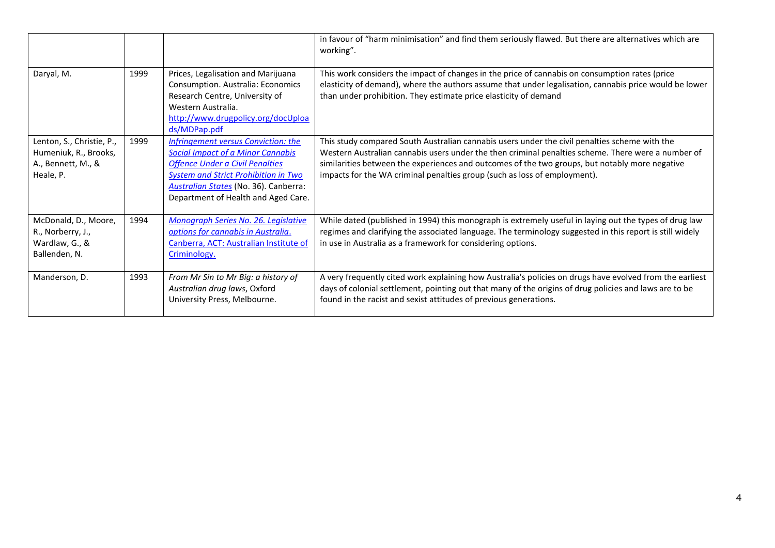|                                                                                       |      |                                                                                                                                                                                                                                                          | in favour of "harm minimisation" and find them seriously flawed. But there are alternatives which are<br>working".                                                                                                                                                                                                                                                                 |
|---------------------------------------------------------------------------------------|------|----------------------------------------------------------------------------------------------------------------------------------------------------------------------------------------------------------------------------------------------------------|------------------------------------------------------------------------------------------------------------------------------------------------------------------------------------------------------------------------------------------------------------------------------------------------------------------------------------------------------------------------------------|
| Daryal, M.                                                                            | 1999 | Prices, Legalisation and Marijuana<br>Consumption. Australia: Economics<br>Research Centre, University of<br>Western Australia.<br>http://www.drugpolicy.org/docUploa<br>ds/MDPap.pdf                                                                    | This work considers the impact of changes in the price of cannabis on consumption rates (price<br>elasticity of demand), where the authors assume that under legalisation, cannabis price would be lower<br>than under prohibition. They estimate price elasticity of demand                                                                                                       |
| Lenton, S., Christie, P.,<br>Humeniuk, R., Brooks,<br>A., Bennett, M., &<br>Heale, P. | 1999 | Infringement versus Conviction: the<br><b>Social Impact of a Minor Cannabis</b><br><b>Offence Under a Civil Penalties</b><br><b>System and Strict Prohibition in Two</b><br>Australian States (No. 36). Canberra:<br>Department of Health and Aged Care. | This study compared South Australian cannabis users under the civil penalties scheme with the<br>Western Australian cannabis users under the then criminal penalties scheme. There were a number of<br>similarities between the experiences and outcomes of the two groups, but notably more negative<br>impacts for the WA criminal penalties group (such as loss of employment). |
| McDonald, D., Moore,<br>R., Norberry, J.,<br>Wardlaw, G., &<br>Ballenden, N.          | 1994 | Monograph Series No. 26. Legislative<br>options for cannabis in Australia.<br>Canberra, ACT: Australian Institute of<br>Criminology.                                                                                                                     | While dated (published in 1994) this monograph is extremely useful in laying out the types of drug law<br>regimes and clarifying the associated language. The terminology suggested in this report is still widely<br>in use in Australia as a framework for considering options.                                                                                                  |
| Manderson, D.                                                                         | 1993 | From Mr Sin to Mr Big: a history of<br>Australian drug laws, Oxford<br>University Press, Melbourne.                                                                                                                                                      | A very frequently cited work explaining how Australia's policies on drugs have evolved from the earliest<br>days of colonial settlement, pointing out that many of the origins of drug policies and laws are to be<br>found in the racist and sexist attitudes of previous generations.                                                                                            |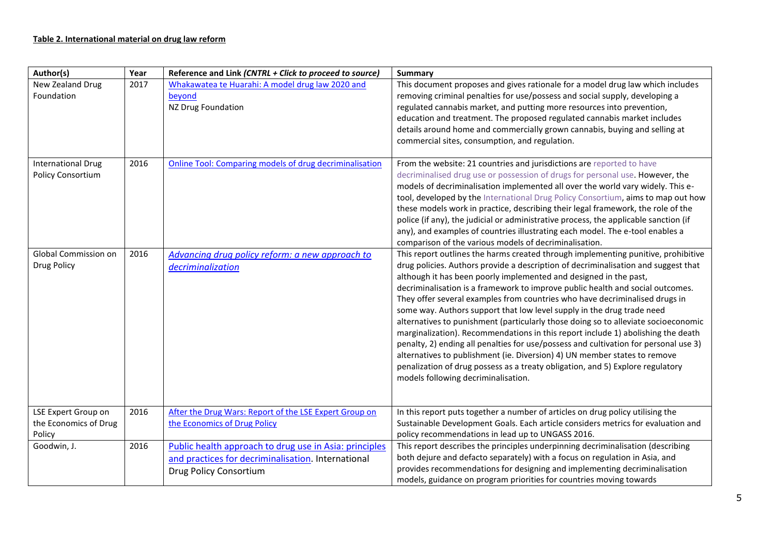| Author(s)                                              | Year | Reference and Link (CNTRL + Click to proceed to source)                                                                                       | <b>Summary</b>                                                                                                                                                                                                                                                                                                                                                                                                                                                                                                                                                                                                                                                                                                                                                                                                                                                                                                                                                  |
|--------------------------------------------------------|------|-----------------------------------------------------------------------------------------------------------------------------------------------|-----------------------------------------------------------------------------------------------------------------------------------------------------------------------------------------------------------------------------------------------------------------------------------------------------------------------------------------------------------------------------------------------------------------------------------------------------------------------------------------------------------------------------------------------------------------------------------------------------------------------------------------------------------------------------------------------------------------------------------------------------------------------------------------------------------------------------------------------------------------------------------------------------------------------------------------------------------------|
| New Zealand Drug<br>Foundation                         | 2017 | Whakawatea te Huarahi: A model drug law 2020 and<br>beyond<br>NZ Drug Foundation                                                              | This document proposes and gives rationale for a model drug law which includes<br>removing criminal penalties for use/possess and social supply, developing a<br>regulated cannabis market, and putting more resources into prevention,<br>education and treatment. The proposed regulated cannabis market includes<br>details around home and commercially grown cannabis, buying and selling at<br>commercial sites, consumption, and regulation.                                                                                                                                                                                                                                                                                                                                                                                                                                                                                                             |
| <b>International Drug</b><br>Policy Consortium         | 2016 | <b>Online Tool: Comparing models of drug decriminalisation</b>                                                                                | From the website: 21 countries and jurisdictions are reported to have<br>decriminalised drug use or possession of drugs for personal use. However, the<br>models of decriminalisation implemented all over the world vary widely. This e-<br>tool, developed by the International Drug Policy Consortium, aims to map out how<br>these models work in practice, describing their legal framework, the role of the<br>police (if any), the judicial or administrative process, the applicable sanction (if<br>any), and examples of countries illustrating each model. The e-tool enables a<br>comparison of the various models of decriminalisation.                                                                                                                                                                                                                                                                                                            |
| Global Commission on<br>Drug Policy                    | 2016 | Advancing drug policy reform: a new approach to<br>decriminalization                                                                          | This report outlines the harms created through implementing punitive, prohibitive<br>drug policies. Authors provide a description of decriminalisation and suggest that<br>although it has been poorly implemented and designed in the past,<br>decriminalisation is a framework to improve public health and social outcomes.<br>They offer several examples from countries who have decriminalised drugs in<br>some way. Authors support that low level supply in the drug trade need<br>alternatives to punishment (particularly those doing so to alleviate socioeconomic<br>marginalization). Recommendations in this report include 1) abolishing the death<br>penalty, 2) ending all penalties for use/possess and cultivation for personal use 3)<br>alternatives to publishment (ie. Diversion) 4) UN member states to remove<br>penalization of drug possess as a treaty obligation, and 5) Explore regulatory<br>models following decriminalisation. |
| LSE Expert Group on<br>the Economics of Drug<br>Policy | 2016 | After the Drug Wars: Report of the LSE Expert Group on<br>the Economics of Drug Policy                                                        | In this report puts together a number of articles on drug policy utilising the<br>Sustainable Development Goals. Each article considers metrics for evaluation and<br>policy recommendations in lead up to UNGASS 2016.                                                                                                                                                                                                                                                                                                                                                                                                                                                                                                                                                                                                                                                                                                                                         |
| Goodwin, J.                                            | 2016 | Public health approach to drug use in Asia: principles<br>and practices for decriminalisation. International<br><b>Drug Policy Consortium</b> | This report describes the principles underpinning decriminalisation (describing<br>both dejure and defacto separately) with a focus on regulation in Asia, and<br>provides recommendations for designing and implementing decriminalisation<br>models, guidance on program priorities for countries moving towards                                                                                                                                                                                                                                                                                                                                                                                                                                                                                                                                                                                                                                              |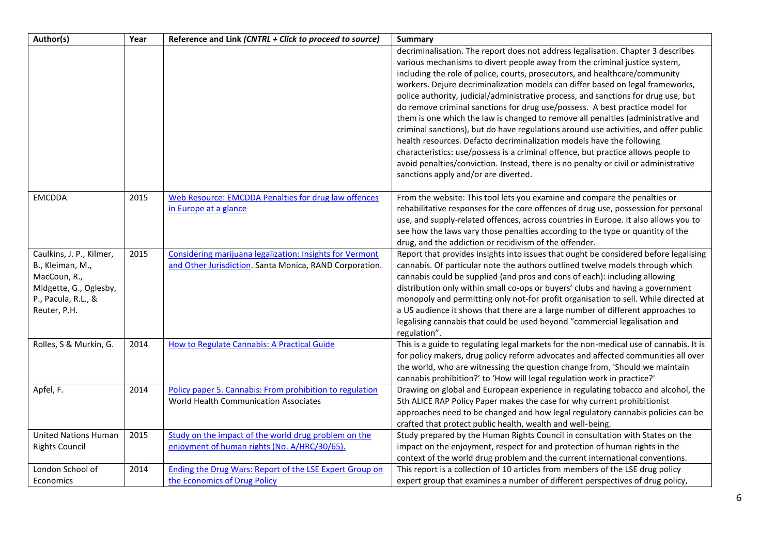| Author(s)                                                                                                                     | Year | Reference and Link (CNTRL + Click to proceed to source)                                                             | <b>Summary</b>                                                                                                                                                                                                                                                                                                                                                                                                                                                                                                                                                                                                                                                                                                                                                                                                                                                                                                                                                                 |
|-------------------------------------------------------------------------------------------------------------------------------|------|---------------------------------------------------------------------------------------------------------------------|--------------------------------------------------------------------------------------------------------------------------------------------------------------------------------------------------------------------------------------------------------------------------------------------------------------------------------------------------------------------------------------------------------------------------------------------------------------------------------------------------------------------------------------------------------------------------------------------------------------------------------------------------------------------------------------------------------------------------------------------------------------------------------------------------------------------------------------------------------------------------------------------------------------------------------------------------------------------------------|
|                                                                                                                               |      |                                                                                                                     | decriminalisation. The report does not address legalisation. Chapter 3 describes<br>various mechanisms to divert people away from the criminal justice system,<br>including the role of police, courts, prosecutors, and healthcare/community<br>workers. Dejure decriminalization models can differ based on legal frameworks,<br>police authority, judicial/administrative process, and sanctions for drug use, but<br>do remove criminal sanctions for drug use/possess. A best practice model for<br>them is one which the law is changed to remove all penalties (administrative and<br>criminal sanctions), but do have regulations around use activities, and offer public<br>health resources. Defacto decriminalization models have the following<br>characteristics: use/possess is a criminal offence, but practice allows people to<br>avoid penalties/conviction. Instead, there is no penalty or civil or administrative<br>sanctions apply and/or are diverted. |
| <b>EMCDDA</b>                                                                                                                 | 2015 | Web Resource: EMCDDA Penalties for drug law offences<br>in Europe at a glance                                       | From the website: This tool lets you examine and compare the penalties or<br>rehabilitative responses for the core offences of drug use, possession for personal<br>use, and supply-related offences, across countries in Europe. It also allows you to<br>see how the laws vary those penalties according to the type or quantity of the<br>drug, and the addiction or recidivism of the offender.                                                                                                                                                                                                                                                                                                                                                                                                                                                                                                                                                                            |
| Caulkins, J. P., Kilmer,<br>B., Kleiman, M.,<br>MacCoun, R.,<br>Midgette, G., Oglesby,<br>P., Pacula, R.L., &<br>Reuter, P.H. | 2015 | Considering marijuana legalization: Insights for Vermont<br>and Other Jurisdiction. Santa Monica, RAND Corporation. | Report that provides insights into issues that ought be considered before legalising<br>cannabis. Of particular note the authors outlined twelve models through which<br>cannabis could be supplied (and pros and cons of each): including allowing<br>distribution only within small co-ops or buyers' clubs and having a government<br>monopoly and permitting only not-for profit organisation to sell. While directed at<br>a US audience it shows that there are a large number of different approaches to<br>legalising cannabis that could be used beyond "commercial legalisation and<br>regulation".                                                                                                                                                                                                                                                                                                                                                                  |
| Rolles, S & Murkin, G.                                                                                                        | 2014 | <b>How to Regulate Cannabis: A Practical Guide</b>                                                                  | This is a guide to regulating legal markets for the non-medical use of cannabis. It is<br>for policy makers, drug policy reform advocates and affected communities all over<br>the world, who are witnessing the question change from, 'Should we maintain<br>cannabis prohibition?' to 'How will legal regulation work in practice?'                                                                                                                                                                                                                                                                                                                                                                                                                                                                                                                                                                                                                                          |
| Apfel, F.                                                                                                                     | 2014 | Policy paper 5. Cannabis: From prohibition to regulation<br>World Health Communication Associates                   | Drawing on global and European experience in regulating tobacco and alcohol, the<br>5th ALICE RAP Policy Paper makes the case for why current prohibitionist<br>approaches need to be changed and how legal regulatory cannabis policies can be<br>crafted that protect public health, wealth and well-being.                                                                                                                                                                                                                                                                                                                                                                                                                                                                                                                                                                                                                                                                  |
| <b>United Nations Human</b><br><b>Rights Council</b>                                                                          | 2015 | Study on the impact of the world drug problem on the<br>enjoyment of human rights (No. A/HRC/30/65).                | Study prepared by the Human Rights Council in consultation with States on the<br>impact on the enjoyment, respect for and protection of human rights in the<br>context of the world drug problem and the current international conventions.                                                                                                                                                                                                                                                                                                                                                                                                                                                                                                                                                                                                                                                                                                                                    |
| London School of<br>Economics                                                                                                 | 2014 | <b>Ending the Drug Wars: Report of the LSE Expert Group on</b><br>the Economics of Drug Policy                      | This report is a collection of 10 articles from members of the LSE drug policy<br>expert group that examines a number of different perspectives of drug policy,                                                                                                                                                                                                                                                                                                                                                                                                                                                                                                                                                                                                                                                                                                                                                                                                                |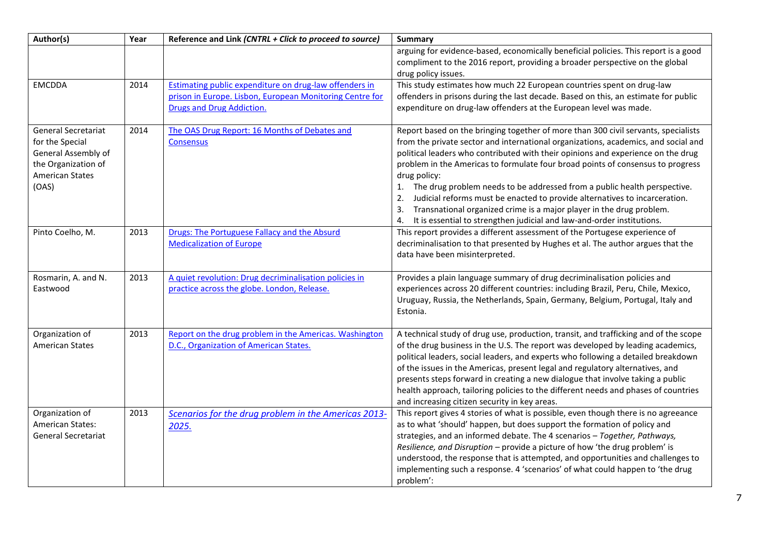| Author(s)                                                                                                                      | Year | Reference and Link (CNTRL + Click to proceed to source)                         | <b>Summary</b>                                                                                                                                                                                                                                                                                                                                                                                                                                                                                                                                                                                                   |
|--------------------------------------------------------------------------------------------------------------------------------|------|---------------------------------------------------------------------------------|------------------------------------------------------------------------------------------------------------------------------------------------------------------------------------------------------------------------------------------------------------------------------------------------------------------------------------------------------------------------------------------------------------------------------------------------------------------------------------------------------------------------------------------------------------------------------------------------------------------|
|                                                                                                                                |      |                                                                                 | arguing for evidence-based, economically beneficial policies. This report is a good<br>compliment to the 2016 report, providing a broader perspective on the global<br>drug policy issues.                                                                                                                                                                                                                                                                                                                                                                                                                       |
| <b>EMCDDA</b>                                                                                                                  | 2014 | Estimating public expenditure on drug-law offenders in                          | This study estimates how much 22 European countries spent on drug-law                                                                                                                                                                                                                                                                                                                                                                                                                                                                                                                                            |
|                                                                                                                                |      | prison in Europe. Lisbon, European Monitoring Centre for                        | offenders in prisons during the last decade. Based on this, an estimate for public                                                                                                                                                                                                                                                                                                                                                                                                                                                                                                                               |
|                                                                                                                                |      | <b>Drugs and Drug Addiction.</b>                                                | expenditure on drug-law offenders at the European level was made.                                                                                                                                                                                                                                                                                                                                                                                                                                                                                                                                                |
| <b>General Secretariat</b><br>for the Special<br>General Assembly of<br>the Organization of<br><b>American States</b><br>(OAS) | 2014 | The OAS Drug Report: 16 Months of Debates and<br><b>Consensus</b>               | Report based on the bringing together of more than 300 civil servants, specialists<br>from the private sector and international organizations, academics, and social and<br>political leaders who contributed with their opinions and experience on the drug<br>problem in the Americas to formulate four broad points of consensus to progress<br>drug policy:<br>1. The drug problem needs to be addressed from a public health perspective.<br>Judicial reforms must be enacted to provide alternatives to incarceration.<br>2.<br>Transnational organized crime is a major player in the drug problem.<br>3. |
|                                                                                                                                |      |                                                                                 | It is essential to strengthen judicial and law-and-order institutions.<br>4.                                                                                                                                                                                                                                                                                                                                                                                                                                                                                                                                     |
| Pinto Coelho, M.                                                                                                               | 2013 | Drugs: The Portuguese Fallacy and the Absurd<br><b>Medicalization of Europe</b> | This report provides a different assessment of the Portugese experience of<br>decriminalisation to that presented by Hughes et al. The author argues that the<br>data have been misinterpreted.                                                                                                                                                                                                                                                                                                                                                                                                                  |
| Rosmarin, A. and N.                                                                                                            | 2013 | A quiet revolution: Drug decriminalisation policies in                          | Provides a plain language summary of drug decriminalisation policies and                                                                                                                                                                                                                                                                                                                                                                                                                                                                                                                                         |
| Eastwood                                                                                                                       |      | practice across the globe. London, Release.                                     | experiences across 20 different countries: including Brazil, Peru, Chile, Mexico,<br>Uruguay, Russia, the Netherlands, Spain, Germany, Belgium, Portugal, Italy and<br>Estonia.                                                                                                                                                                                                                                                                                                                                                                                                                                  |
| Organization of                                                                                                                | 2013 | Report on the drug problem in the Americas. Washington                          | A technical study of drug use, production, transit, and trafficking and of the scope                                                                                                                                                                                                                                                                                                                                                                                                                                                                                                                             |
| <b>American States</b>                                                                                                         |      | D.C., Organization of American States.                                          | of the drug business in the U.S. The report was developed by leading academics,<br>political leaders, social leaders, and experts who following a detailed breakdown<br>of the issues in the Americas, present legal and regulatory alternatives, and<br>presents steps forward in creating a new dialogue that involve taking a public<br>health approach, tailoring policies to the different needs and phases of countries<br>and increasing citizen security in key areas.                                                                                                                                   |
| Organization of                                                                                                                | 2013 | Scenarios for the drug problem in the Americas 2013-                            | This report gives 4 stories of what is possible, even though there is no agreeance                                                                                                                                                                                                                                                                                                                                                                                                                                                                                                                               |
| <b>American States:</b><br><b>General Secretariat</b>                                                                          |      | 2025.                                                                           | as to what 'should' happen, but does support the formation of policy and<br>strategies, and an informed debate. The 4 scenarios - Together, Pathways,<br>Resilience, and Disruption - provide a picture of how 'the drug problem' is<br>understood, the response that is attempted, and opportunities and challenges to<br>implementing such a response. 4 'scenarios' of what could happen to 'the drug<br>problem':                                                                                                                                                                                            |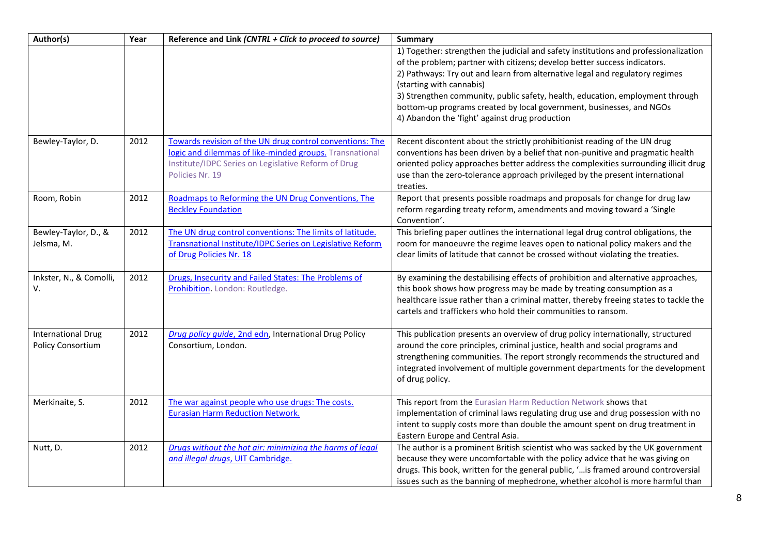| Author(s)                                      | Year | Reference and Link (CNTRL + Click to proceed to source)                                                                                                                                       | Summary                                                                                                                                                                                                                                                                                                                                                                                                                                                                                  |
|------------------------------------------------|------|-----------------------------------------------------------------------------------------------------------------------------------------------------------------------------------------------|------------------------------------------------------------------------------------------------------------------------------------------------------------------------------------------------------------------------------------------------------------------------------------------------------------------------------------------------------------------------------------------------------------------------------------------------------------------------------------------|
|                                                |      |                                                                                                                                                                                               | 1) Together: strengthen the judicial and safety institutions and professionalization<br>of the problem; partner with citizens; develop better success indicators.<br>2) Pathways: Try out and learn from alternative legal and regulatory regimes<br>(starting with cannabis)<br>3) Strengthen community, public safety, health, education, employment through<br>bottom-up programs created by local government, businesses, and NGOs<br>4) Abandon the 'fight' against drug production |
| Bewley-Taylor, D.                              | 2012 | Towards revision of the UN drug control conventions: The<br>logic and dilemmas of like-minded groups. Transnational<br>Institute/IDPC Series on Legislative Reform of Drug<br>Policies Nr. 19 | Recent discontent about the strictly prohibitionist reading of the UN drug<br>conventions has been driven by a belief that non-punitive and pragmatic health<br>oriented policy approaches better address the complexities surrounding illicit drug<br>use than the zero-tolerance approach privileged by the present international<br>treaties.                                                                                                                                         |
| Room, Robin                                    | 2012 | Roadmaps to Reforming the UN Drug Conventions, The<br><b>Beckley Foundation</b>                                                                                                               | Report that presents possible roadmaps and proposals for change for drug law<br>reform regarding treaty reform, amendments and moving toward a 'Single<br>Convention'.                                                                                                                                                                                                                                                                                                                   |
| Bewley-Taylor, D., &<br>Jelsma, M.             | 2012 | The UN drug control conventions: The limits of latitude.<br>Transnational Institute/IDPC Series on Legislative Reform<br>of Drug Policies Nr. 18                                              | This briefing paper outlines the international legal drug control obligations, the<br>room for manoeuvre the regime leaves open to national policy makers and the<br>clear limits of latitude that cannot be crossed without violating the treaties.                                                                                                                                                                                                                                     |
| Inkster, N., & Comolli,<br>V.                  | 2012 | Drugs, Insecurity and Failed States: The Problems of<br>Prohibition. London: Routledge.                                                                                                       | By examining the destabilising effects of prohibition and alternative approaches,<br>this book shows how progress may be made by treating consumption as a<br>healthcare issue rather than a criminal matter, thereby freeing states to tackle the<br>cartels and traffickers who hold their communities to ransom.                                                                                                                                                                      |
| <b>International Drug</b><br>Policy Consortium | 2012 | Drug policy guide, 2nd edn, International Drug Policy<br>Consortium, London.                                                                                                                  | This publication presents an overview of drug policy internationally, structured<br>around the core principles, criminal justice, health and social programs and<br>strengthening communities. The report strongly recommends the structured and<br>integrated involvement of multiple government departments for the development<br>of drug policy.                                                                                                                                     |
| Merkinaite, S.                                 | 2012 | The war against people who use drugs: The costs.<br><b>Eurasian Harm Reduction Network.</b>                                                                                                   | This report from the Eurasian Harm Reduction Network shows that<br>implementation of criminal laws regulating drug use and drug possession with no<br>intent to supply costs more than double the amount spent on drug treatment in<br>Eastern Europe and Central Asia.                                                                                                                                                                                                                  |
| Nutt, D.                                       | 2012 | Drugs without the hot air: minimizing the harms of legal<br>and illegal drugs, UIT Cambridge.                                                                                                 | The author is a prominent British scientist who was sacked by the UK government<br>because they were uncomfortable with the policy advice that he was giving on<br>drugs. This book, written for the general public, ' is framed around controversial<br>issues such as the banning of mephedrone, whether alcohol is more harmful than                                                                                                                                                  |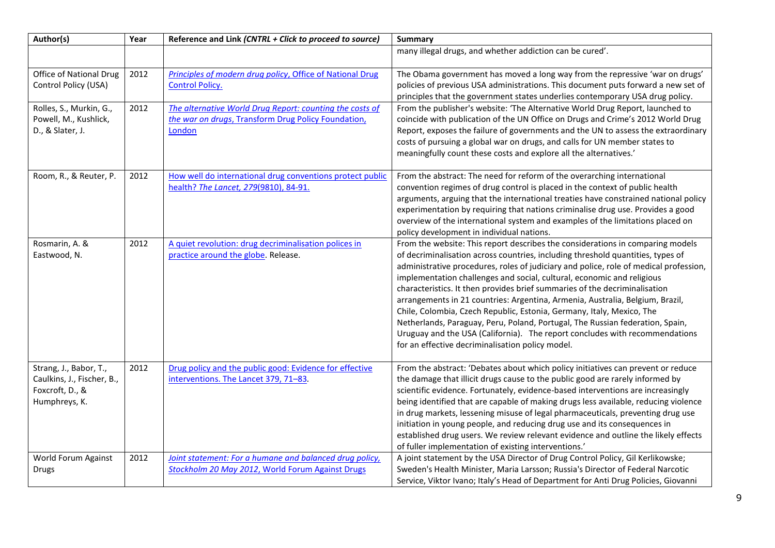| Author(s)                                                                                | Year | Reference and Link (CNTRL + Click to proceed to source)                                                                   | <b>Summary</b>                                                                                                                                                                                                                                                                                                                                                                                                                                                                                                                                                                                                                                                                                                                                                                                   |
|------------------------------------------------------------------------------------------|------|---------------------------------------------------------------------------------------------------------------------------|--------------------------------------------------------------------------------------------------------------------------------------------------------------------------------------------------------------------------------------------------------------------------------------------------------------------------------------------------------------------------------------------------------------------------------------------------------------------------------------------------------------------------------------------------------------------------------------------------------------------------------------------------------------------------------------------------------------------------------------------------------------------------------------------------|
|                                                                                          |      |                                                                                                                           | many illegal drugs, and whether addiction can be cured'.                                                                                                                                                                                                                                                                                                                                                                                                                                                                                                                                                                                                                                                                                                                                         |
| <b>Office of National Drug</b><br>Control Policy (USA)                                   | 2012 | Principles of modern drug policy, Office of National Drug<br><b>Control Policy.</b>                                       | The Obama government has moved a long way from the repressive 'war on drugs'<br>policies of previous USA administrations. This document puts forward a new set of<br>principles that the government states underlies contemporary USA drug policy.                                                                                                                                                                                                                                                                                                                                                                                                                                                                                                                                               |
| Rolles, S., Murkin, G.,<br>Powell, M., Kushlick,<br>D., & Slater, J.                     | 2012 | The alternative World Drug Report: counting the costs of<br>the war on drugs, Transform Drug Policy Foundation,<br>London | From the publisher's website: 'The Alternative World Drug Report, launched to<br>coincide with publication of the UN Office on Drugs and Crime's 2012 World Drug<br>Report, exposes the failure of governments and the UN to assess the extraordinary<br>costs of pursuing a global war on drugs, and calls for UN member states to<br>meaningfully count these costs and explore all the alternatives.'                                                                                                                                                                                                                                                                                                                                                                                         |
| Room, R., & Reuter, P.                                                                   | 2012 | How well do international drug conventions protect public<br>health? The Lancet, 279(9810), 84-91.                        | From the abstract: The need for reform of the overarching international<br>convention regimes of drug control is placed in the context of public health<br>arguments, arguing that the international treaties have constrained national policy<br>experimentation by requiring that nations criminalise drug use. Provides a good<br>overview of the international system and examples of the limitations placed on<br>policy development in individual nations.                                                                                                                                                                                                                                                                                                                                 |
| Rosmarin, A. &<br>Eastwood, N.                                                           | 2012 | A quiet revolution: drug decriminalisation polices in<br>practice around the globe. Release.                              | From the website: This report describes the considerations in comparing models<br>of decriminalisation across countries, including threshold quantities, types of<br>administrative procedures, roles of judiciary and police, role of medical profession,<br>implementation challenges and social, cultural, economic and religious<br>characteristics. It then provides brief summaries of the decriminalisation<br>arrangements in 21 countries: Argentina, Armenia, Australia, Belgium, Brazil,<br>Chile, Colombia, Czech Republic, Estonia, Germany, Italy, Mexico, The<br>Netherlands, Paraguay, Peru, Poland, Portugal, The Russian federation, Spain,<br>Uruguay and the USA (California). The report concludes with recommendations<br>for an effective decriminalisation policy model. |
| Strang, J., Babor, T.,<br>Caulkins, J., Fischer, B.,<br>Foxcroft, D., &<br>Humphreys, K. | 2012 | Drug policy and the public good: Evidence for effective<br>interventions. The Lancet 379, 71-83.                          | From the abstract: 'Debates about which policy initiatives can prevent or reduce<br>the damage that illicit drugs cause to the public good are rarely informed by<br>scientific evidence. Fortunately, evidence-based interventions are increasingly<br>being identified that are capable of making drugs less available, reducing violence<br>in drug markets, lessening misuse of legal pharmaceuticals, preventing drug use<br>initiation in young people, and reducing drug use and its consequences in<br>established drug users. We review relevant evidence and outline the likely effects<br>of fuller implementation of existing interventions.'                                                                                                                                        |
| World Forum Against<br><b>Drugs</b>                                                      | 2012 | Joint statement: For a humane and balanced drug policy,<br>Stockholm 20 May 2012, World Forum Against Drugs               | A joint statement by the USA Director of Drug Control Policy, Gil Kerlikowske;<br>Sweden's Health Minister, Maria Larsson; Russia's Director of Federal Narcotic<br>Service, Viktor Ivano; Italy's Head of Department for Anti Drug Policies, Giovanni                                                                                                                                                                                                                                                                                                                                                                                                                                                                                                                                           |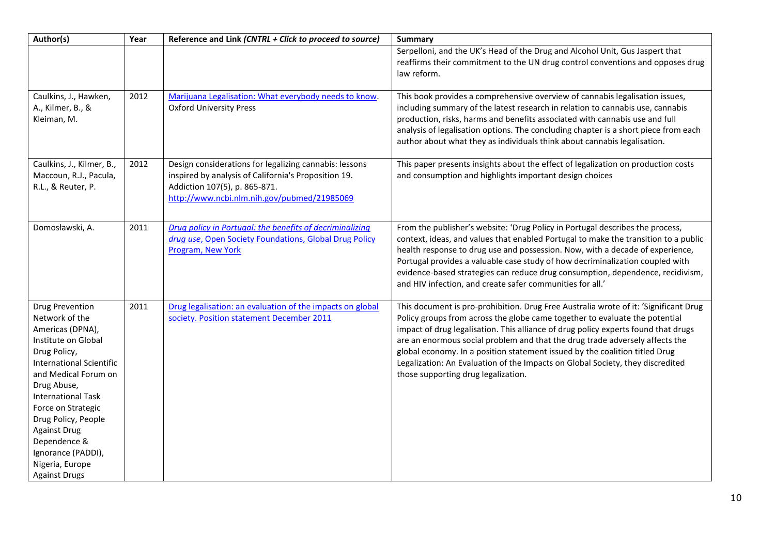| Author(s)                                                                                                                                                                                                                                                                                                                                                       | Year | Reference and Link (CNTRL + Click to proceed to source)                                                                                                                                        | <b>Summary</b>                                                                                                                                                                                                                                                                                                                                                                                                                                                                                                                                    |
|-----------------------------------------------------------------------------------------------------------------------------------------------------------------------------------------------------------------------------------------------------------------------------------------------------------------------------------------------------------------|------|------------------------------------------------------------------------------------------------------------------------------------------------------------------------------------------------|---------------------------------------------------------------------------------------------------------------------------------------------------------------------------------------------------------------------------------------------------------------------------------------------------------------------------------------------------------------------------------------------------------------------------------------------------------------------------------------------------------------------------------------------------|
|                                                                                                                                                                                                                                                                                                                                                                 |      |                                                                                                                                                                                                | Serpelloni, and the UK's Head of the Drug and Alcohol Unit, Gus Jaspert that<br>reaffirms their commitment to the UN drug control conventions and opposes drug<br>law reform.                                                                                                                                                                                                                                                                                                                                                                     |
| Caulkins, J., Hawken,<br>A., Kilmer, B., &<br>Kleiman, M.                                                                                                                                                                                                                                                                                                       | 2012 | Marijuana Legalisation: What everybody needs to know.<br><b>Oxford University Press</b>                                                                                                        | This book provides a comprehensive overview of cannabis legalisation issues,<br>including summary of the latest research in relation to cannabis use, cannabis<br>production, risks, harms and benefits associated with cannabis use and full<br>analysis of legalisation options. The concluding chapter is a short piece from each<br>author about what they as individuals think about cannabis legalisation.                                                                                                                                  |
| Caulkins, J., Kilmer, B.,<br>Maccoun, R.J., Pacula,<br>R.L., & Reuter, P.                                                                                                                                                                                                                                                                                       | 2012 | Design considerations for legalizing cannabis: lessons<br>inspired by analysis of California's Proposition 19.<br>Addiction 107(5), p. 865-871.<br>http://www.ncbi.nlm.nih.gov/pubmed/21985069 | This paper presents insights about the effect of legalization on production costs<br>and consumption and highlights important design choices                                                                                                                                                                                                                                                                                                                                                                                                      |
| Domosławski, A.                                                                                                                                                                                                                                                                                                                                                 | 2011 | Drug policy in Portugal: the benefits of decriminalizing<br>drug use, Open Society Foundations, Global Drug Policy<br>Program, New York                                                        | From the publisher's website: 'Drug Policy in Portugal describes the process,<br>context, ideas, and values that enabled Portugal to make the transition to a public<br>health response to drug use and possession. Now, with a decade of experience,<br>Portugal provides a valuable case study of how decriminalization coupled with<br>evidence-based strategies can reduce drug consumption, dependence, recidivism,<br>and HIV infection, and create safer communities for all.'                                                             |
| <b>Drug Prevention</b><br>Network of the<br>Americas (DPNA),<br>Institute on Global<br>Drug Policy,<br><b>International Scientific</b><br>and Medical Forum on<br>Drug Abuse,<br><b>International Task</b><br>Force on Strategic<br>Drug Policy, People<br><b>Against Drug</b><br>Dependence &<br>Ignorance (PADDI),<br>Nigeria, Europe<br><b>Against Drugs</b> | 2011 | Drug legalisation: an evaluation of the impacts on global<br>society. Position statement December 2011                                                                                         | This document is pro-prohibition. Drug Free Australia wrote of it: 'Significant Drug<br>Policy groups from across the globe came together to evaluate the potential<br>impact of drug legalisation. This alliance of drug policy experts found that drugs<br>are an enormous social problem and that the drug trade adversely affects the<br>global economy. In a position statement issued by the coalition titled Drug<br>Legalization: An Evaluation of the Impacts on Global Society, they discredited<br>those supporting drug legalization. |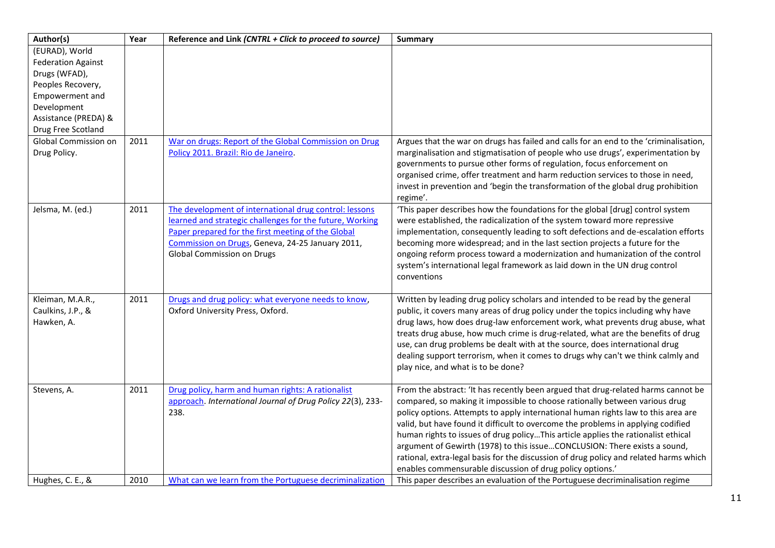| Author(s)                   | Year | Reference and Link (CNTRL + Click to proceed to source)                                                         | <b>Summary</b>                                                                                                                                                   |
|-----------------------------|------|-----------------------------------------------------------------------------------------------------------------|------------------------------------------------------------------------------------------------------------------------------------------------------------------|
| (EURAD), World              |      |                                                                                                                 |                                                                                                                                                                  |
| <b>Federation Against</b>   |      |                                                                                                                 |                                                                                                                                                                  |
| Drugs (WFAD),               |      |                                                                                                                 |                                                                                                                                                                  |
| Peoples Recovery,           |      |                                                                                                                 |                                                                                                                                                                  |
| Empowerment and             |      |                                                                                                                 |                                                                                                                                                                  |
| Development                 |      |                                                                                                                 |                                                                                                                                                                  |
| Assistance (PREDA) &        |      |                                                                                                                 |                                                                                                                                                                  |
| Drug Free Scotland          |      |                                                                                                                 |                                                                                                                                                                  |
| <b>Global Commission on</b> | 2011 | War on drugs: Report of the Global Commission on Drug                                                           | Argues that the war on drugs has failed and calls for an end to the 'criminalisation,                                                                            |
| Drug Policy.                |      | Policy 2011. Brazil: Rio de Janeiro.                                                                            | marginalisation and stigmatisation of people who use drugs', experimentation by                                                                                  |
|                             |      |                                                                                                                 | governments to pursue other forms of regulation, focus enforcement on                                                                                            |
|                             |      |                                                                                                                 | organised crime, offer treatment and harm reduction services to those in need,                                                                                   |
|                             |      |                                                                                                                 | invest in prevention and 'begin the transformation of the global drug prohibition                                                                                |
|                             |      |                                                                                                                 | regime'.                                                                                                                                                         |
| Jelsma, M. (ed.)            | 2011 | The development of international drug control: lessons                                                          | 'This paper describes how the foundations for the global [drug] control system                                                                                   |
|                             |      | learned and strategic challenges for the future, Working                                                        | were established, the radicalization of the system toward more repressive                                                                                        |
|                             |      | Paper prepared for the first meeting of the Global                                                              | implementation, consequently leading to soft defections and de-escalation efforts                                                                                |
|                             |      | Commission on Drugs, Geneva, 24-25 January 2011,                                                                | becoming more widespread; and in the last section projects a future for the                                                                                      |
|                             |      | <b>Global Commission on Drugs</b>                                                                               | ongoing reform process toward a modernization and humanization of the control                                                                                    |
|                             |      |                                                                                                                 | system's international legal framework as laid down in the UN drug control                                                                                       |
|                             |      |                                                                                                                 | conventions                                                                                                                                                      |
|                             |      |                                                                                                                 |                                                                                                                                                                  |
| Kleiman, M.A.R.,            | 2011 | Drugs and drug policy: what everyone needs to know,                                                             | Written by leading drug policy scholars and intended to be read by the general                                                                                   |
| Caulkins, J.P., &           |      | Oxford University Press, Oxford.                                                                                | public, it covers many areas of drug policy under the topics including why have                                                                                  |
| Hawken, A.                  |      |                                                                                                                 | drug laws, how does drug-law enforcement work, what prevents drug abuse, what                                                                                    |
|                             |      |                                                                                                                 | treats drug abuse, how much crime is drug-related, what are the benefits of drug                                                                                 |
|                             |      |                                                                                                                 | use, can drug problems be dealt with at the source, does international drug                                                                                      |
|                             |      |                                                                                                                 | dealing support terrorism, when it comes to drugs why can't we think calmly and                                                                                  |
|                             |      |                                                                                                                 | play nice, and what is to be done?                                                                                                                               |
|                             | 2011 |                                                                                                                 |                                                                                                                                                                  |
| Stevens, A.                 |      | Drug policy, harm and human rights: A rationalist<br>approach. International Journal of Drug Policy 22(3), 233- | From the abstract: 'It has recently been argued that drug-related harms cannot be<br>compared, so making it impossible to choose rationally between various drug |
|                             |      | 238.                                                                                                            | policy options. Attempts to apply international human rights law to this area are                                                                                |
|                             |      |                                                                                                                 | valid, but have found it difficult to overcome the problems in applying codified                                                                                 |
|                             |      |                                                                                                                 | human rights to issues of drug policyThis article applies the rationalist ethical                                                                                |
|                             |      |                                                                                                                 | argument of Gewirth (1978) to this issueCONCLUSION: There exists a sound,                                                                                        |
|                             |      |                                                                                                                 | rational, extra-legal basis for the discussion of drug policy and related harms which                                                                            |
|                             |      |                                                                                                                 | enables commensurable discussion of drug policy options.'                                                                                                        |
| Hughes, C. E., &            | 2010 | What can we learn from the Portuguese decriminalization                                                         | This paper describes an evaluation of the Portuguese decriminalisation regime                                                                                    |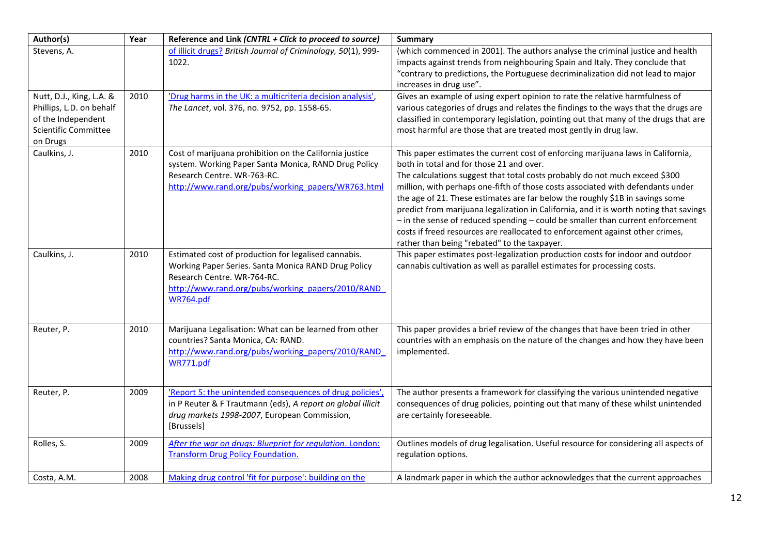| Author(s)                                                                                                      | Year | Reference and Link (CNTRL + Click to proceed to source)                                                                                                                                                       | <b>Summary</b>                                                                                                                                                                                                                                                                                                                                                                                                                                                                                                                                                                                                                                                                               |
|----------------------------------------------------------------------------------------------------------------|------|---------------------------------------------------------------------------------------------------------------------------------------------------------------------------------------------------------------|----------------------------------------------------------------------------------------------------------------------------------------------------------------------------------------------------------------------------------------------------------------------------------------------------------------------------------------------------------------------------------------------------------------------------------------------------------------------------------------------------------------------------------------------------------------------------------------------------------------------------------------------------------------------------------------------|
| Stevens, A.                                                                                                    |      | of illicit drugs? British Journal of Criminology, 50(1), 999-<br>1022.                                                                                                                                        | (which commenced in 2001). The authors analyse the criminal justice and health<br>impacts against trends from neighbouring Spain and Italy. They conclude that<br>"contrary to predictions, the Portuguese decriminalization did not lead to major<br>increases in drug use".                                                                                                                                                                                                                                                                                                                                                                                                                |
| Nutt, D.J., King, L.A. &<br>Phillips, L.D. on behalf<br>of the Independent<br>Scientific Committee<br>on Drugs | 2010 | 'Drug harms in the UK: a multicriteria decision analysis',<br>The Lancet, vol. 376, no. 9752, pp. 1558-65.                                                                                                    | Gives an example of using expert opinion to rate the relative harmfulness of<br>various categories of drugs and relates the findings to the ways that the drugs are<br>classified in contemporary legislation, pointing out that many of the drugs that are<br>most harmful are those that are treated most gently in drug law.                                                                                                                                                                                                                                                                                                                                                              |
| Caulkins, J.                                                                                                   | 2010 | Cost of marijuana prohibition on the California justice<br>system. Working Paper Santa Monica, RAND Drug Policy<br>Research Centre. WR-763-RC.<br>http://www.rand.org/pubs/working_papers/WR763.html          | This paper estimates the current cost of enforcing marijuana laws in California,<br>both in total and for those 21 and over.<br>The calculations suggest that total costs probably do not much exceed \$300<br>million, with perhaps one-fifth of those costs associated with defendants under<br>the age of 21. These estimates are far below the roughly \$1B in savings some<br>predict from marijuana legalization in California, and it is worth noting that savings<br>- in the sense of reduced spending - could be smaller than current enforcement<br>costs if freed resources are reallocated to enforcement against other crimes,<br>rather than being "rebated" to the taxpayer. |
| Caulkins, J.                                                                                                   | 2010 | Estimated cost of production for legalised cannabis.<br>Working Paper Series. Santa Monica RAND Drug Policy<br>Research Centre. WR-764-RC.<br>http://www.rand.org/pubs/working_papers/2010/RAND_<br>WR764.pdf | This paper estimates post-legalization production costs for indoor and outdoor<br>cannabis cultivation as well as parallel estimates for processing costs.                                                                                                                                                                                                                                                                                                                                                                                                                                                                                                                                   |
| Reuter, P.                                                                                                     | 2010 | Marijuana Legalisation: What can be learned from other<br>countries? Santa Monica, CA: RAND.<br>http://www.rand.org/pubs/working_papers/2010/RAND<br>WR771.pdf                                                | This paper provides a brief review of the changes that have been tried in other<br>countries with an emphasis on the nature of the changes and how they have been<br>implemented.                                                                                                                                                                                                                                                                                                                                                                                                                                                                                                            |
| Reuter, P.                                                                                                     | 2009 | 'Report 5: the unintended consequences of drug policies',<br>in P Reuter & F Trautmann (eds), A report on global illicit<br>drug markets 1998-2007, European Commission,<br>[Brussels]                        | The author presents a framework for classifying the various unintended negative<br>consequences of drug policies, pointing out that many of these whilst unintended<br>are certainly foreseeable.                                                                                                                                                                                                                                                                                                                                                                                                                                                                                            |
| Rolles, S.                                                                                                     | 2009 | After the war on drugs: Blueprint for regulation. London:<br><b>Transform Drug Policy Foundation.</b>                                                                                                         | Outlines models of drug legalisation. Useful resource for considering all aspects of<br>regulation options.                                                                                                                                                                                                                                                                                                                                                                                                                                                                                                                                                                                  |
| Costa, A.M.                                                                                                    | 2008 | Making drug control 'fit for purpose': building on the                                                                                                                                                        | A landmark paper in which the author acknowledges that the current approaches                                                                                                                                                                                                                                                                                                                                                                                                                                                                                                                                                                                                                |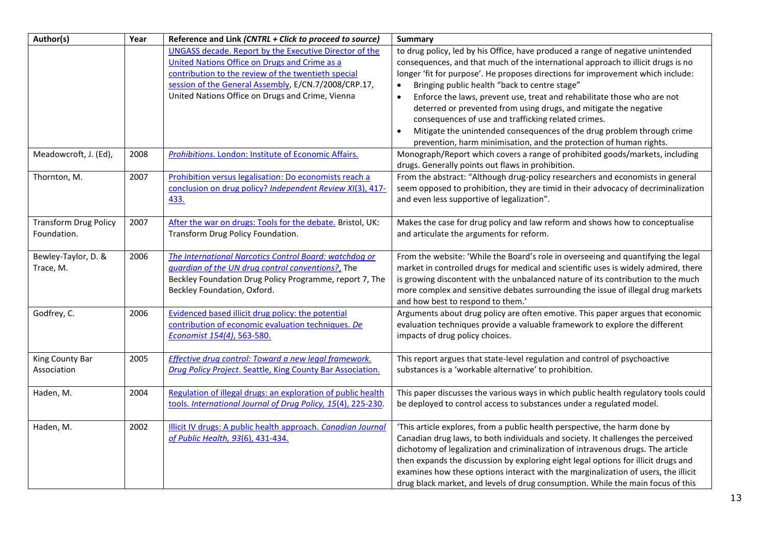| Author(s)                                   | Year | Reference and Link (CNTRL + Click to proceed to source)                                                                                                                                                                                                                    | Summary                                                                                                                                                                                                                                                                                                                                                                                                                                                                                                                                                                                                                                                                                  |
|---------------------------------------------|------|----------------------------------------------------------------------------------------------------------------------------------------------------------------------------------------------------------------------------------------------------------------------------|------------------------------------------------------------------------------------------------------------------------------------------------------------------------------------------------------------------------------------------------------------------------------------------------------------------------------------------------------------------------------------------------------------------------------------------------------------------------------------------------------------------------------------------------------------------------------------------------------------------------------------------------------------------------------------------|
|                                             |      | UNGASS decade. Report by the Executive Director of the<br>United Nations Office on Drugs and Crime as a<br>contribution to the review of the twentieth special<br>session of the General Assembly, E/CN.7/2008/CRP.17,<br>United Nations Office on Drugs and Crime, Vienna | to drug policy, led by his Office, have produced a range of negative unintended<br>consequences, and that much of the international approach to illicit drugs is no<br>longer 'fit for purpose'. He proposes directions for improvement which include:<br>Bringing public health "back to centre stage"<br>$\bullet$<br>Enforce the laws, prevent use, treat and rehabilitate those who are not<br>$\bullet$<br>deterred or prevented from using drugs, and mitigate the negative<br>consequences of use and trafficking related crimes.<br>Mitigate the unintended consequences of the drug problem through crime<br>prevention, harm minimisation, and the protection of human rights. |
| Meadowcroft, J. (Ed),                       | 2008 | Prohibitions. London: Institute of Economic Affairs.                                                                                                                                                                                                                       | Monograph/Report which covers a range of prohibited goods/markets, including<br>drugs. Generally points out flaws in prohibition.                                                                                                                                                                                                                                                                                                                                                                                                                                                                                                                                                        |
| Thornton, M.                                | 2007 | Prohibition versus legalisation: Do economists reach a<br>conclusion on drug policy? Independent Review XI(3), 417-<br>433.                                                                                                                                                | From the abstract: "Although drug-policy researchers and economists in general<br>seem opposed to prohibition, they are timid in their advocacy of decriminalization<br>and even less supportive of legalization".                                                                                                                                                                                                                                                                                                                                                                                                                                                                       |
| <b>Transform Drug Policy</b><br>Foundation. | 2007 | After the war on drugs: Tools for the debate. Bristol, UK:<br>Transform Drug Policy Foundation.                                                                                                                                                                            | Makes the case for drug policy and law reform and shows how to conceptualise<br>and articulate the arguments for reform.                                                                                                                                                                                                                                                                                                                                                                                                                                                                                                                                                                 |
| Bewley-Taylor, D. &<br>Trace, M.            | 2006 | The International Narcotics Control Board: watchdog or<br>guardian of the UN drug control conventions?, The<br>Beckley Foundation Drug Policy Programme, report 7, The<br>Beckley Foundation, Oxford.                                                                      | From the website: 'While the Board's role in overseeing and quantifying the legal<br>market in controlled drugs for medical and scientific uses is widely admired, there<br>is growing discontent with the unbalanced nature of its contribution to the much<br>more complex and sensitive debates surrounding the issue of illegal drug markets<br>and how best to respond to them.'                                                                                                                                                                                                                                                                                                    |
| Godfrey, C.                                 | 2006 | Evidenced based illicit drug policy: the potential<br>contribution of economic evaluation techniques. De<br>Economist 154(4), 563-580.                                                                                                                                     | Arguments about drug policy are often emotive. This paper argues that economic<br>evaluation techniques provide a valuable framework to explore the different<br>impacts of drug policy choices.                                                                                                                                                                                                                                                                                                                                                                                                                                                                                         |
| King County Bar<br>Association              | 2005 | Effective drug control: Toward a new legal framework.<br>Drug Policy Project. Seattle, King County Bar Association.                                                                                                                                                        | This report argues that state-level regulation and control of psychoactive<br>substances is a 'workable alternative' to prohibition.                                                                                                                                                                                                                                                                                                                                                                                                                                                                                                                                                     |
| Haden, M.                                   | 2004 | Regulation of illegal drugs: an exploration of public health<br>tools. International Journal of Drug Policy, 15(4), 225-230.                                                                                                                                               | This paper discusses the various ways in which public health regulatory tools could<br>be deployed to control access to substances under a regulated model.                                                                                                                                                                                                                                                                                                                                                                                                                                                                                                                              |
| Haden, M.                                   | 2002 | Illicit IV drugs: A public health approach. Canadian Journal<br>of Public Health, 93(6), 431-434.                                                                                                                                                                          | 'This article explores, from a public health perspective, the harm done by<br>Canadian drug laws, to both individuals and society. It challenges the perceived<br>dichotomy of legalization and criminalization of intravenous drugs. The article<br>then expands the discussion by exploring eight legal options for illicit drugs and<br>examines how these options interact with the marginalization of users, the illicit<br>drug black market, and levels of drug consumption. While the main focus of this                                                                                                                                                                         |